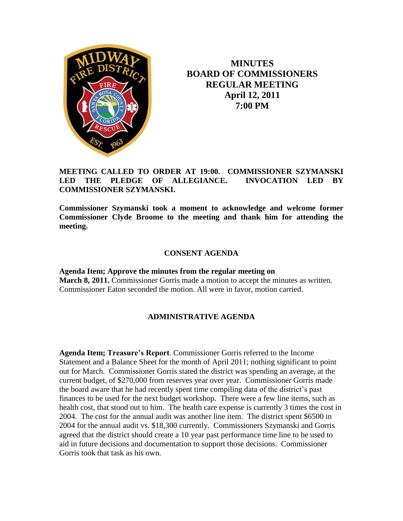

**MINUTES BOARD OF COMMISSIONERS REGULAR MEETING April 12, 2011 7:00 PM**

## **MEETING CALLED TO ORDER AT 19:00. COMMISSIONER SZYMANSKI LED THE PLEDGE OF ALLEGIANCE. INVOCATION LED BY COMMISSIONER SZYMANSKI.**

**Commissioner Szymanski took a moment to acknowledge and welcome former Commissioner Clyde Broome to the meeting and thank him for attending the meeting.**

## **CONSENT AGENDA**

**Agenda Item; Approve the minutes from the regular meeting on March 8, 2011.** Commissioner Gorris made a motion to accept the minutes as written. Commissioner Eaton seconded the motion. All were in favor, motion carried.

## **ADMINISTRATIVE AGENDA**

**Agenda Item; Treasure's Report**. Commissioner Gorris referred to the Income Statement and a Balance Sheet for the month of April 2011; nothing significant to point out for March. Commissioner Gorris stated the district was spending an average, at the current budget, of \$270,000 from reserves year over year. Commissioner Gorris made the board aware that he had recently spent time compiling data of the district's past finances to be used for the next budget workshop. There were a few line items, such as health cost, that stood out to him. The health care expense is currently 3 times the cost in 2004. The cost for the annual audit was another line item. The district spent \$6500 in 2004 for the annual audit vs. \$18,300 currently. Commissioners Szymanski and Gorris agreed that the district should create a 10 year past performance time line to be used to aid in future decisions and documentation to support those decisions. Commissioner Gorris took that task as his own.